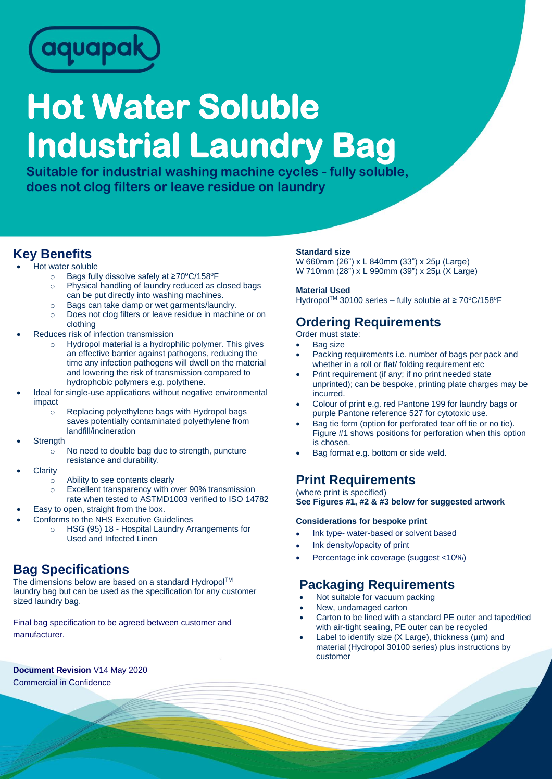

# **Hot Water Soluble Industrial Laundry Bag**

**Suitable for industrial washing machine cycles - fully soluble, does not clog filters or leave residue on laundry**

## **Key Benefits**

- Hot water soluble
	- o Bags fully dissolve safely at ≥70°C/158°F
	- o Physical handling of laundry reduced as closed bags can be put directly into washing machines.
	- o Bags can take damp or wet garments/laundry.
	- o Does not clog filters or leave residue in machine or on clothing
- Reduces risk of infection transmission
	- o Hydropol material is a hydrophilic polymer. This gives an effective barrier against pathogens, reducing the time any infection pathogens will dwell on the material and lowering the risk of transmission compared to hydrophobic polymers e.g. polythene.
- Ideal for single-use applications without negative environmental impact
	- o Replacing polyethylene bags with Hydropol bags saves potentially contaminated polyethylene from landfill/incineration
- **Strength** 
	- $\circ$  No need to double bag due to strength, puncture resistance and durability.
- **Clarity** 
	- o Ability to see contents clearly
	- o Excellent transparency with over 90% transmission rate when tested to ASTMD1003 verified to ISO 14782
- Easy to open, straight from the box.
- Conforms to the NHS Executive Guidelines
	- o HSG (95) 18 Hospital Laundry Arrangements for Used and Infected Linen

# **Bag Specifications**

The dimensions below are based on a standard Hydropol™ laundry bag but can be used as the specification for any customer sized laundry bag.

Final bag specification to be agreed between customer and manufacturer.

**Document Revision** V14 May 2020 Commercial in Confidence

#### **Standard size**

W 660mm (26") x L 840mm (33") x 25µ (Large) W 710mm (28") x L 990mm (39") x 25µ (X Large)

#### **Material Used**

Hydropol<sup>™</sup> 30100 series – fully soluble at ≥ 70°C/158°F

### **Ordering Requirements**

Order must state:

- Bag size
- Packing requirements i.e. number of bags per pack and whether in a roll or flat/ folding requirement etc
- Print requirement (if any; if no print needed state unprinted); can be bespoke, printing plate charges may be incurred.
- Colour of print e.g. red Pantone 199 for laundry bags or purple Pantone reference 527 for cytotoxic use.
- Bag tie form (option for perforated tear off tie or no tie). Figure #1 shows positions for perforation when this option is chosen.
- Bag format e.g. bottom or side weld.

# **Print Requirements**

(where print is specified) **See Figures #1, #2 & #3 below for suggested artwork**

#### **Considerations for bespoke print**

- Ink type- water-based or solvent based
- Ink density/opacity of print
- Percentage ink coverage (suggest <10%)

# **Packaging Requirements**

- Not suitable for vacuum packing
- New, undamaged carton
- Carton to be lined with a standard PE outer and taped/tied with air-tight sealing, PE outer can be recycled
- Label to identify size  $(X \text{ Large}),$  thickness  $(\mu m)$  and material (Hydropol 30100 series) plus instructions by customer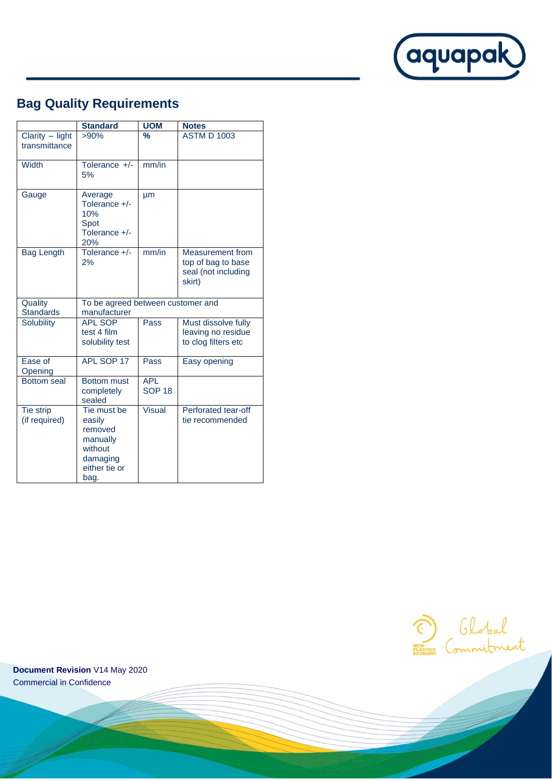

# **Bag Quality Requirements**

|                                    | <b>Standard</b>                                                                              | <b>UOM</b>                  | <b>Notes</b>                                                                   |
|------------------------------------|----------------------------------------------------------------------------------------------|-----------------------------|--------------------------------------------------------------------------------|
| Clarity $-$ light<br>transmittance | $>90\%$                                                                                      | $\frac{9}{6}$               | <b>ASTM D 1003</b>                                                             |
| <b>Width</b>                       | Tolerance +/-<br>5%                                                                          | mm/in                       |                                                                                |
| Gauge                              | Average<br>Tolerance +/-<br>10%<br>Spot<br>Tolerance +/-<br>20%                              | <b>um</b>                   |                                                                                |
| <b>Bag Length</b>                  | Tolerance +/-<br>2%                                                                          | mm/in                       | <b>Measurement from</b><br>top of bag to base<br>seal (not including<br>skirt) |
| Quality<br><b>Standards</b>        | To be agreed between customer and<br>manufacturer                                            |                             |                                                                                |
| Solubility                         | <b>APL SOP</b><br>test 4 film<br>solubility test                                             | Pass                        | Must dissolve fully<br>leaving no residue<br>to clog filters etc               |
| Ease of<br>Opening                 | APL SOP 17                                                                                   | Pass                        | Easy opening                                                                   |
| <b>Bottom</b> seal                 | <b>Bottom must</b><br>completely<br>sealed                                                   | <b>APL</b><br><b>SOP 18</b> |                                                                                |
| Tie strip<br>(if required)         | Tie must be<br>easily<br>removed<br>manually<br>without<br>damaging<br>either tie or<br>bag. | <b>Visual</b>               | Perforated tear-off<br>tie recommended                                         |



**Document Revision** V14 May 2020 Commercial in Confidence